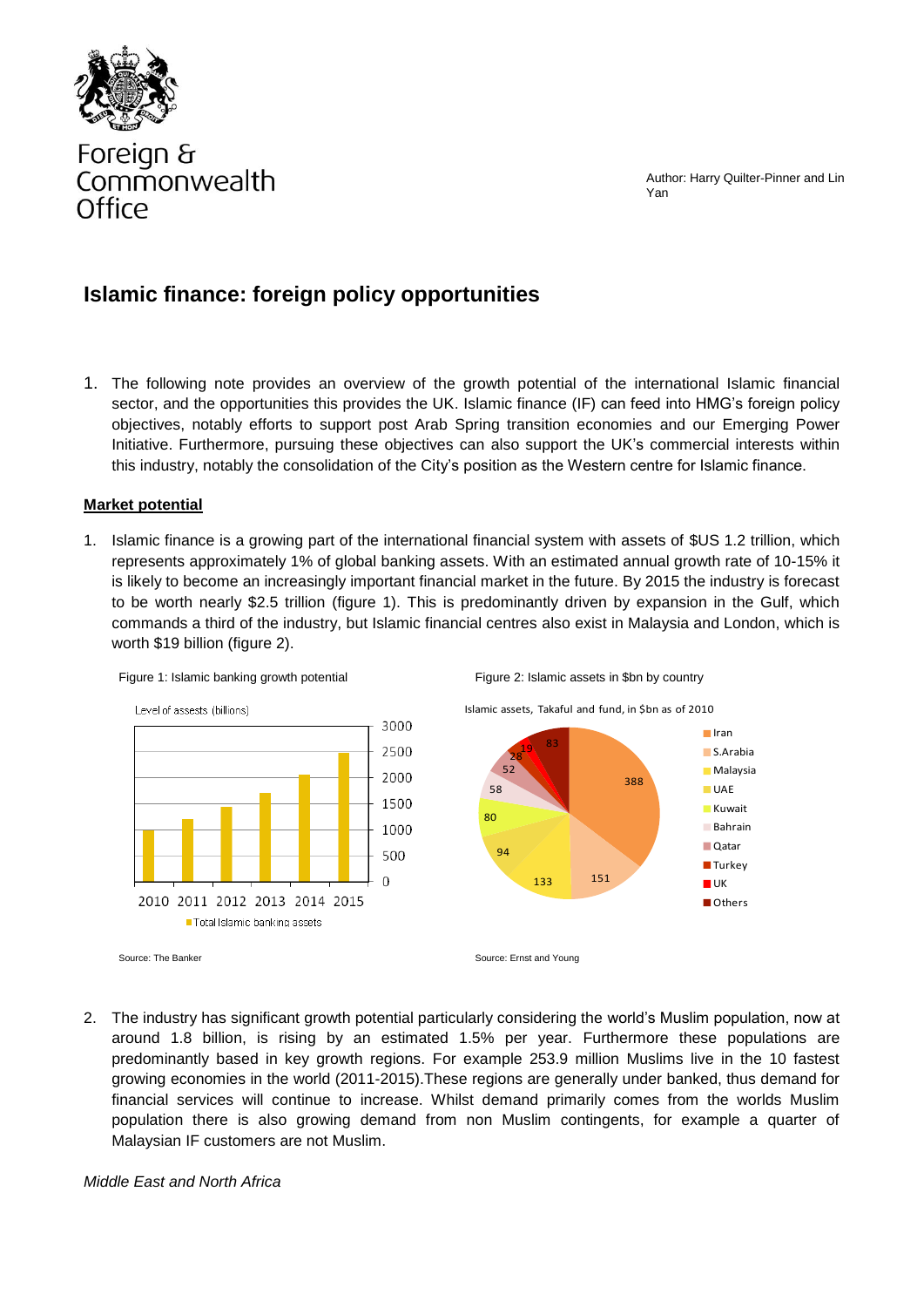Author: Harry Quilter-Pinner and Lin Yan



# Foreign & Commonwealth Office

## **Islamic finance: foreign policy opportunities**

1. The following note provides an overview of the growth potential of the international Islamic financial sector, and the opportunities this provides the UK. Islamic finance (IF) can feed into HMG's foreign policy objectives, notably efforts to support post Arab Spring transition economies and our Emerging Power Initiative. Furthermore, pursuing these objectives can also support the UK's commercial interests within this industry, notably the consolidation of the City's position as the Western centre for Islamic finance.

#### **Market potential**

1. Islamic finance is a growing part of the international financial system with assets of \$US 1.2 trillion, which represents approximately 1% of global banking assets. With an estimated annual growth rate of 10-15% it is likely to become an increasingly important financial market in the future. By 2015 the industry is forecast to be worth nearly \$2.5 trillion (figure 1). This is predominantly driven by expansion in the Gulf, which commands a third of the industry, but Islamic financial centres also exist in Malaysia and London, which is worth \$19 billion (figure 2).



2. The industry has significant growth potential particularly considering the world's Muslim population, now at around 1.8 billion, is rising by an estimated 1.5% per year. Furthermore these populations are predominantly based in key growth regions. For example 253.9 million Muslims live in the 10 fastest growing economies in the world (2011-2015).These regions are generally under banked, thus demand for financial services will continue to increase. Whilst demand primarily comes from the worlds Muslim population there is also growing demand from non Muslim contingents, for example a quarter of Malaysian IF customers are not Muslim.

#### *Middle East and North Africa*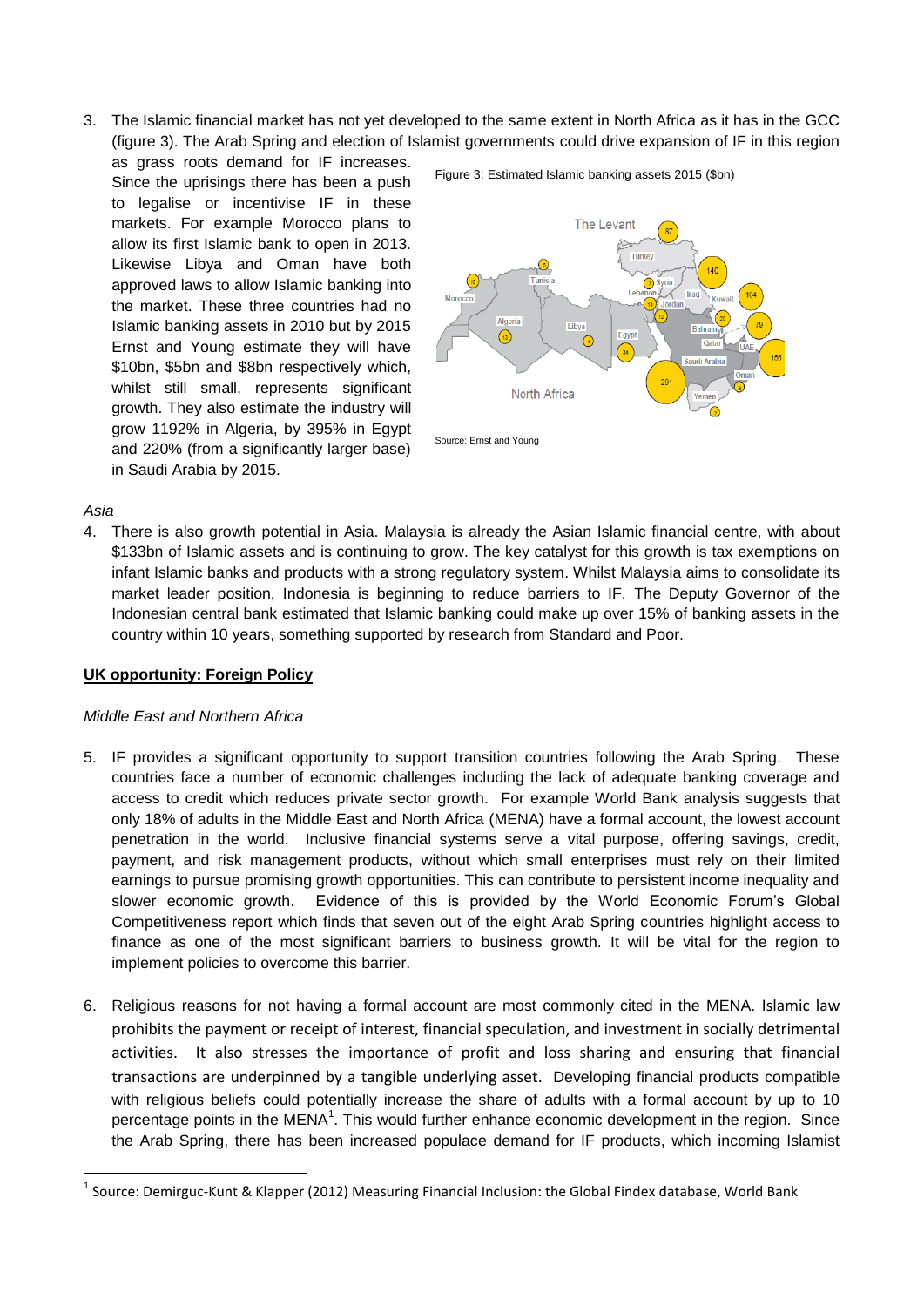3. The Islamic financial market has not yet developed to the same extent in North Africa as it has in the GCC (figure 3). The Arab Spring and election of Islamist governments could drive expansion of IF in this region

as grass roots demand for IF increases. Since the uprisings there has been a push to legalise or incentivise IF in these markets. For example Morocco plans to allow its first Islamic bank to open in 2013. Likewise Libya and Oman have both approved laws to allow Islamic banking into the market. These three countries had no Islamic banking assets in 2010 but by 2015 Ernst and Young estimate they will have \$10bn, \$5bn and \$8bn respectively which, whilst still small, represents significant growth. They also estimate the industry will grow 1192% in Algeria, by 395% in Egypt and 220% (from a significantly larger base) in Saudi Arabia by 2015.



Figure 3: Estimated Islamic banking assets 2015 (\$bn)

Source: Ernst and Young

#### *Asia*

**.** 

4. There is also growth potential in Asia. Malaysia is already the Asian Islamic financial centre, with about \$133bn of Islamic assets and is continuing to grow. The key catalyst for this growth is tax exemptions on infant Islamic banks and products with a strong regulatory system. Whilst Malaysia aims to consolidate its market leader position, Indonesia is beginning to reduce barriers to IF. The Deputy Governor of the Indonesian central bank estimated that Islamic banking could make up over 15% of banking assets in the country within 10 years, something supported by research from Standard and Poor.

#### **UK opportunity: Foreign Policy**

#### *Middle East and Northern Africa*

- 5. IF provides a significant opportunity to support transition countries following the Arab Spring. These countries face a number of economic challenges including the lack of adequate banking coverage and access to credit which reduces private sector growth. For example World Bank analysis suggests that only 18% of adults in the Middle East and North Africa (MENA) have a formal account, the lowest account penetration in the world. Inclusive financial systems serve a vital purpose, offering savings, credit, payment, and risk management products, without which small enterprises must rely on their limited earnings to pursue promising growth opportunities. This can contribute to persistent income inequality and slower economic growth. Evidence of this is provided by the World Economic Forum's Global Competitiveness report which finds that seven out of the eight Arab Spring countries highlight access to finance as one of the most significant barriers to business growth. It will be vital for the region to implement policies to overcome this barrier.
- 6. Religious reasons for not having a formal account are most commonly cited in the MENA. Islamic law prohibits the payment or receipt of interest, financial speculation, and investment in socially detrimental activities. It also stresses the importance of profit and loss sharing and ensuring that financial transactions are underpinned by a tangible underlying asset. Developing financial products compatible with religious beliefs could potentially increase the share of adults with a formal account by up to 10 percentage points in the MENA<sup>1</sup>. This would further enhance economic development in the region. Since the Arab Spring, there has been increased populace demand for IF products, which incoming Islamist

<sup>&</sup>lt;sup>1</sup> Source: Demirguc-Kunt & Klapper (2012) Measuring Financial Inclusion: the Global Findex database, World Bank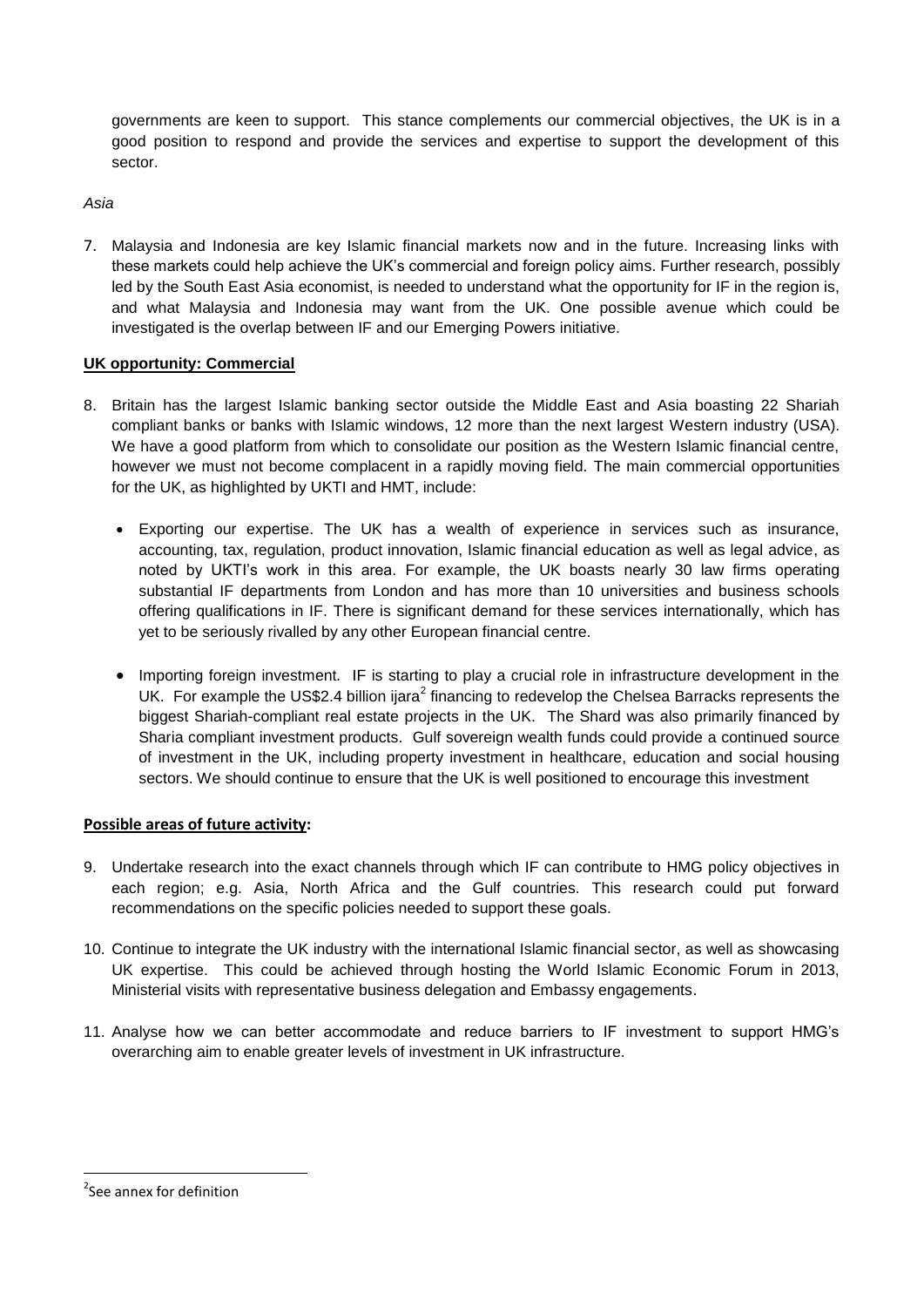governments are keen to support. This stance complements our commercial objectives, the UK is in a good position to respond and provide the services and expertise to support the development of this sector.

*Asia*

7. Malaysia and Indonesia are key Islamic financial markets now and in the future. Increasing links with these markets could help achieve the UK's commercial and foreign policy aims. Further research, possibly led by the South East Asia economist, is needed to understand what the opportunity for IF in the region is, and what Malaysia and Indonesia may want from the UK. One possible avenue which could be investigated is the overlap between IF and our Emerging Powers initiative.

### **UK opportunity: Commercial**

- 8. Britain has the largest Islamic banking sector outside the Middle East and Asia boasting 22 Shariah compliant banks or banks with Islamic windows, 12 more than the next largest Western industry (USA). We have a good platform from which to consolidate our position as the Western Islamic financial centre, however we must not become complacent in a rapidly moving field. The main commercial opportunities for the UK, as highlighted by UKTI and HMT, include:
	- Exporting our expertise. The UK has a wealth of experience in services such as insurance, accounting, tax, regulation, product innovation, Islamic financial education as well as legal advice, as noted by UKTI's work in this area. For example, the UK boasts nearly 30 law firms operating substantial IF departments from London and has more than 10 universities and business schools offering qualifications in IF. There is significant demand for these services internationally, which has yet to be seriously rivalled by any other European financial centre.
	- Importing foreign investment*.* IF is starting to play a crucial role in infrastructure development in the UK. For example the US\$2.4 billion ijara<sup>2</sup> financing to redevelop the Chelsea Barracks represents the biggest Shariah-compliant real estate projects in the UK. The Shard was also primarily financed by Sharia compliant investment products. Gulf sovereign wealth funds could provide a continued source of investment in the UK, including property investment in healthcare, education and social housing sectors. We should continue to ensure that the UK is well positioned to encourage this investment

#### **Possible areas of future activity:**

- 9. Undertake research into the exact channels through which IF can contribute to HMG policy objectives in each region; e.g. Asia, North Africa and the Gulf countries. This research could put forward recommendations on the specific policies needed to support these goals.
- 10. Continue to integrate the UK industry with the international Islamic financial sector, as well as showcasing UK expertise. This could be achieved through hosting the World Islamic Economic Forum in 2013, Ministerial visits with representative business delegation and Embassy engagements.
- 11. Analyse how we can better accommodate and reduce barriers to IF investment to support HMG's overarching aim to enable greater levels of investment in UK infrastructure.

**.** 

<sup>&</sup>lt;sup>2</sup>See annex for definition